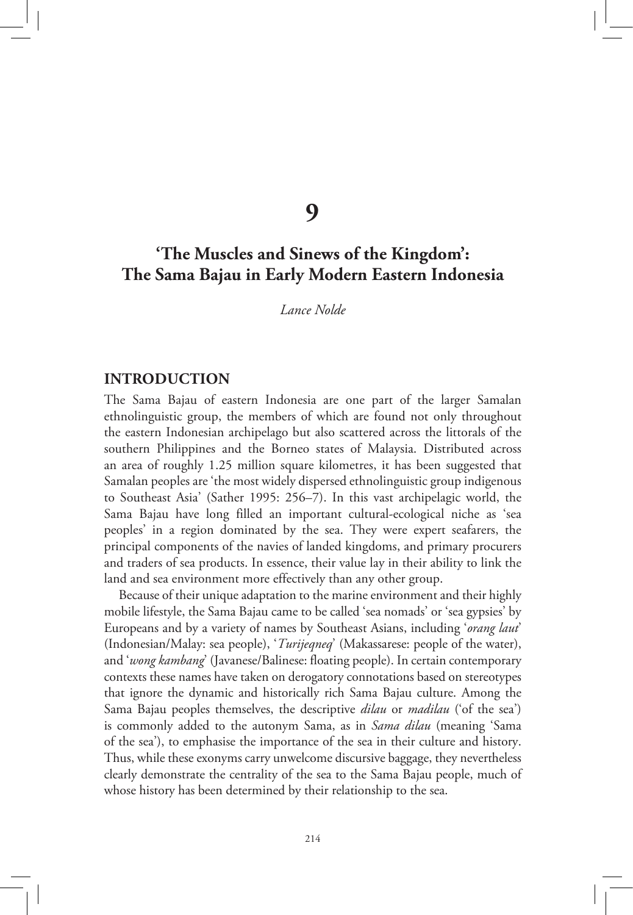**9**

# **'The Muscles and Sinews of the Kingdom': The Sama Bajau in Early Modern Eastern Indonesia**

*Lance Nolde* 

#### **INTRODUCTION**

The Sama Bajau of eastern Indonesia are one part of the larger Samalan ethnolinguistic group, the members of which are found not only throughout the eastern Indonesian archipelago but also scattered across the littorals of the southern Philippines and the Borneo states of Malaysia. Distributed across an area of roughly 1.25 million square kilometres, it has been suggested that Samalan peoples are 'the most widely dispersed ethnolinguistic group indigenous to Southeast Asia' (Sather 1995: 256–7). In this vast archipelagic world, the Sama Bajau have long filled an important cultural-ecological niche as 'sea peoples' in a region dominated by the sea. They were expert seafarers, the principal components of the navies of landed kingdoms, and primary procurers and traders of sea products. In essence, their value lay in their ability to link the land and sea environment more effectively than any other group.

Because of their unique adaptation to the marine environment and their highly mobile lifestyle, the Sama Bajau came to be called 'sea nomads' or 'sea gypsies' by Europeans and by a variety of names by Southeast Asians, including '*orang laut*' (Indonesian/Malay: sea people), '*Turijeqneq*' (Makassarese: people of the water), and '*wong kambang*' (Javanese/Balinese: floating people). In certain contemporary contexts these names have taken on derogatory connotations based on stereotypes that ignore the dynamic and historically rich Sama Bajau culture. Among the Sama Bajau peoples themselves, the descriptive *dilau* or *madilau* ('of the sea') is commonly added to the autonym Sama, as in *Sama dilau* (meaning 'Sama of the sea'), to emphasise the importance of the sea in their culture and history. Thus, while these exonyms carry unwelcome discursive baggage, they nevertheless clearly demonstrate the centrality of the sea to the Sama Bajau people, much of whose history has been determined by their relationship to the sea.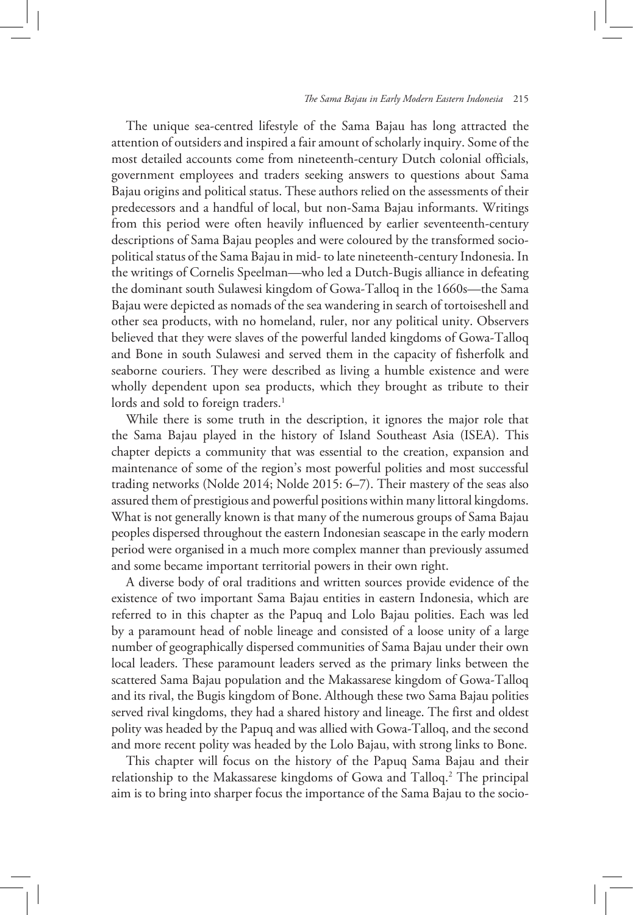The unique sea-centred lifestyle of the Sama Bajau has long attracted the attention of outsiders and inspired a fair amount of scholarly inquiry. Some of the most detailed accounts come from nineteenth-century Dutch colonial officials, government employees and traders seeking answers to questions about Sama Bajau origins and political status. These authors relied on the assessments of their predecessors and a handful of local, but non-Sama Bajau informants. Writings from this period were often heavily influenced by earlier seventeenth-century descriptions of Sama Bajau peoples and were coloured by the transformed sociopolitical status of the Sama Bajau in mid- to late nineteenth-century Indonesia. In the writings of Cornelis Speelman—who led a Dutch-Bugis alliance in defeating the dominant south Sulawesi kingdom of Gowa-Talloq in the 1660s—the Sama Bajau were depicted as nomads of the sea wandering in search of tortoiseshell and other sea products, with no homeland, ruler, nor any political unity. Observers believed that they were slaves of the powerful landed kingdoms of Gowa-Talloq and Bone in south Sulawesi and served them in the capacity of fisherfolk and seaborne couriers. They were described as living a humble existence and were wholly dependent upon sea products, which they brought as tribute to their lords and sold to foreign traders.<sup>1</sup>

While there is some truth in the description, it ignores the major role that the Sama Bajau played in the history of Island Southeast Asia (ISEA). This chapter depicts a community that was essential to the creation, expansion and maintenance of some of the region's most powerful polities and most successful trading networks (Nolde 2014; Nolde 2015: 6–7). Their mastery of the seas also assured them of prestigious and powerful positions within many littoral kingdoms. What is not generally known is that many of the numerous groups of Sama Bajau peoples dispersed throughout the eastern Indonesian seascape in the early modern period were organised in a much more complex manner than previously assumed and some became important territorial powers in their own right.

A diverse body of oral traditions and written sources provide evidence of the existence of two important Sama Bajau entities in eastern Indonesia, which are referred to in this chapter as the Papuq and Lolo Bajau polities. Each was led by a paramount head of noble lineage and consisted of a loose unity of a large number of geographically dispersed communities of Sama Bajau under their own local leaders. These paramount leaders served as the primary links between the scattered Sama Bajau population and the Makassarese kingdom of Gowa-Talloq and its rival, the Bugis kingdom of Bone. Although these two Sama Bajau polities served rival kingdoms, they had a shared history and lineage. The first and oldest polity was headed by the Papuq and was allied with Gowa-Talloq, and the second and more recent polity was headed by the Lolo Bajau, with strong links to Bone.

This chapter will focus on the history of the Papuq Sama Bajau and their relationship to the Makassarese kingdoms of Gowa and Talloq.<sup>2</sup> The principal aim is to bring into sharper focus the importance of the Sama Bajau to the socio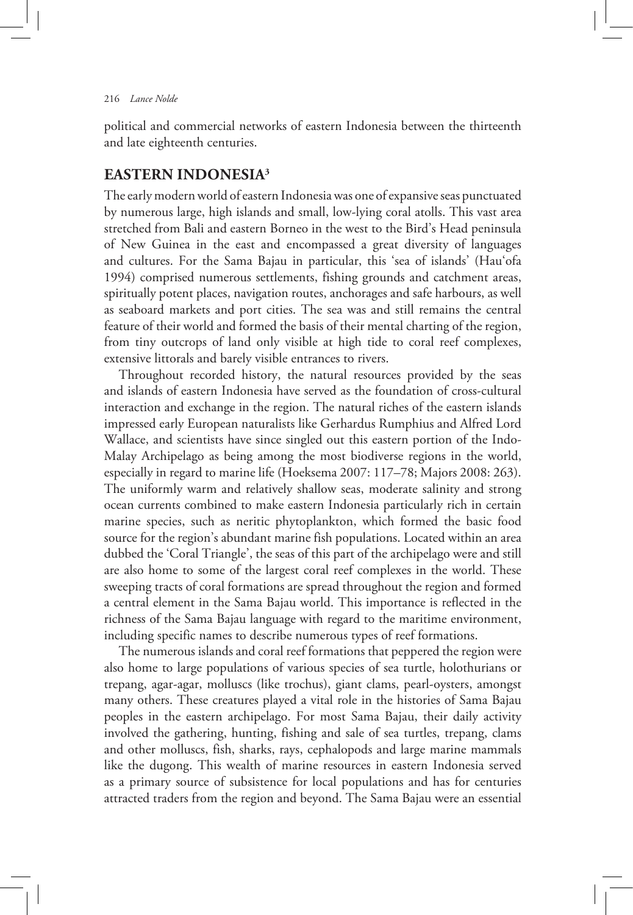political and commercial networks of eastern Indonesia between the thirteenth and late eighteenth centuries.

# **EASTERN INDONESIA3**

The early modern world of eastern Indonesia was one of expansive seas punctuated by numerous large, high islands and small, low-lying coral atolls. This vast area stretched from Bali and eastern Borneo in the west to the Bird's Head peninsula of New Guinea in the east and encompassed a great diversity of languages and cultures. For the Sama Bajau in particular, this 'sea of islands' (Hau'ofa 1994) comprised numerous settlements, fishing grounds and catchment areas, spiritually potent places, navigation routes, anchorages and safe harbours, as well as seaboard markets and port cities. The sea was and still remains the central feature of their world and formed the basis of their mental charting of the region, from tiny outcrops of land only visible at high tide to coral reef complexes, extensive littorals and barely visible entrances to rivers.

Throughout recorded history, the natural resources provided by the seas and islands of eastern Indonesia have served as the foundation of cross-cultural interaction and exchange in the region. The natural riches of the eastern islands impressed early European naturalists like Gerhardus Rumphius and Alfred Lord Wallace, and scientists have since singled out this eastern portion of the Indo-Malay Archipelago as being among the most biodiverse regions in the world, especially in regard to marine life (Hoeksema 2007: 117–78; Majors 2008: 263). The uniformly warm and relatively shallow seas, moderate salinity and strong ocean currents combined to make eastern Indonesia particularly rich in certain marine species, such as neritic phytoplankton, which formed the basic food source for the region's abundant marine fish populations. Located within an area dubbed the 'Coral Triangle', the seas of this part of the archipelago were and still are also home to some of the largest coral reef complexes in the world. These sweeping tracts of coral formations are spread throughout the region and formed a central element in the Sama Bajau world. This importance is reflected in the richness of the Sama Bajau language with regard to the maritime environment, including specific names to describe numerous types of reef formations.

The numerous islands and coral reef formations that peppered the region were also home to large populations of various species of sea turtle, holothurians or trepang, agar-agar, molluscs (like trochus), giant clams, pearl-oysters, amongst many others. These creatures played a vital role in the histories of Sama Bajau peoples in the eastern archipelago. For most Sama Bajau, their daily activity involved the gathering, hunting, fishing and sale of sea turtles, trepang, clams and other molluscs, fish, sharks, rays, cephalopods and large marine mammals like the dugong. This wealth of marine resources in eastern Indonesia served as a primary source of subsistence for local populations and has for centuries attracted traders from the region and beyond. The Sama Bajau were an essential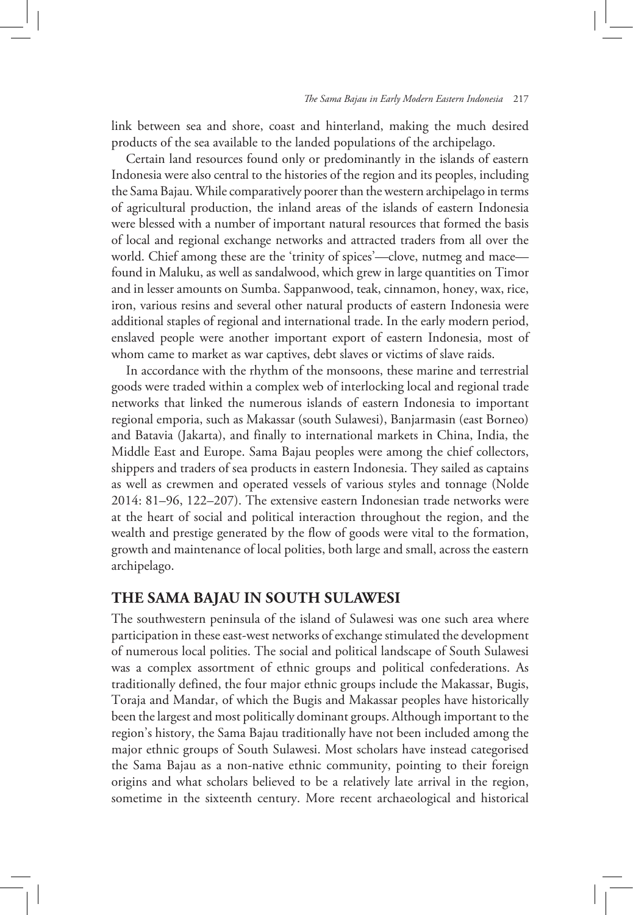link between sea and shore, coast and hinterland, making the much desired products of the sea available to the landed populations of the archipelago.

Certain land resources found only or predominantly in the islands of eastern Indonesia were also central to the histories of the region and its peoples, including the Sama Bajau. While comparatively poorer than the western archipelago in terms of agricultural production, the inland areas of the islands of eastern Indonesia were blessed with a number of important natural resources that formed the basis of local and regional exchange networks and attracted traders from all over the world. Chief among these are the 'trinity of spices'—clove, nutmeg and mace found in Maluku, as well as sandalwood, which grew in large quantities on Timor and in lesser amounts on Sumba. Sappanwood, teak, cinnamon, honey, wax, rice, iron, various resins and several other natural products of eastern Indonesia were additional staples of regional and international trade. In the early modern period, enslaved people were another important export of eastern Indonesia, most of whom came to market as war captives, debt slaves or victims of slave raids.

In accordance with the rhythm of the monsoons, these marine and terrestrial goods were traded within a complex web of interlocking local and regional trade networks that linked the numerous islands of eastern Indonesia to important regional emporia, such as Makassar (south Sulawesi), Banjarmasin (east Borneo) and Batavia (Jakarta), and finally to international markets in China, India, the Middle East and Europe. Sama Bajau peoples were among the chief collectors, shippers and traders of sea products in eastern Indonesia. They sailed as captains as well as crewmen and operated vessels of various styles and tonnage (Nolde 2014: 81–96, 122–207). The extensive eastern Indonesian trade networks were at the heart of social and political interaction throughout the region, and the wealth and prestige generated by the flow of goods were vital to the formation, growth and maintenance of local polities, both large and small, across the eastern archipelago.

## **THE SAMA BAJAU IN SOUTH SULAWESI**

The southwestern peninsula of the island of Sulawesi was one such area where participation in these east-west networks of exchange stimulated the development of numerous local polities. The social and political landscape of South Sulawesi was a complex assortment of ethnic groups and political confederations. As traditionally defined, the four major ethnic groups include the Makassar, Bugis, Toraja and Mandar, of which the Bugis and Makassar peoples have historically been the largest and most politically dominant groups. Although important to the region's history, the Sama Bajau traditionally have not been included among the major ethnic groups of South Sulawesi. Most scholars have instead categorised the Sama Bajau as a non-native ethnic community, pointing to their foreign origins and what scholars believed to be a relatively late arrival in the region, sometime in the sixteenth century. More recent archaeological and historical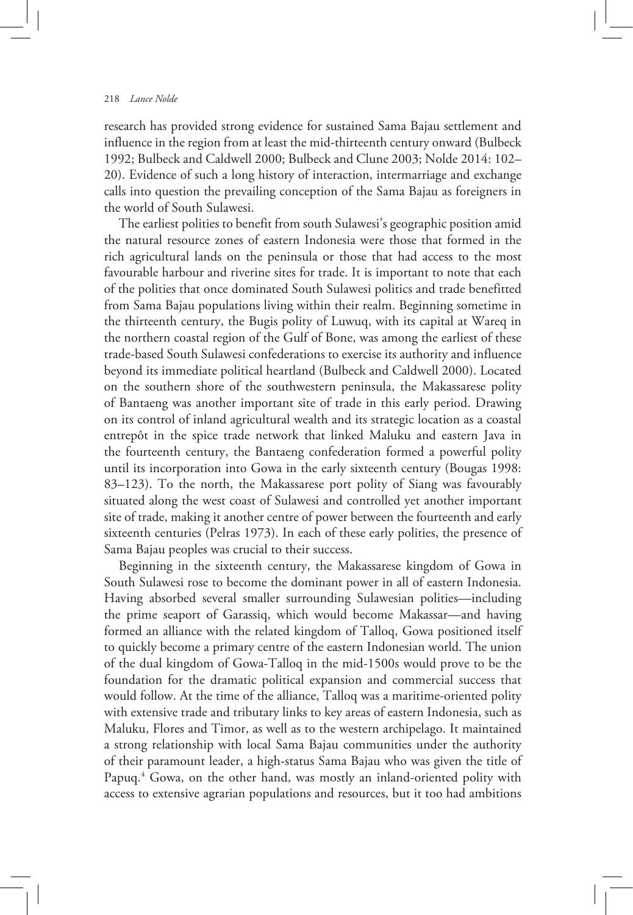research has provided strong evidence for sustained Sama Bajau settlement and influence in the region from at least the mid-thirteenth century onward (Bulbeck 1992; Bulbeck and Caldwell 2000; Bulbeck and Clune 2003; Nolde 2014: 102– 20). Evidence of such a long history of interaction, intermarriage and exchange calls into question the prevailing conception of the Sama Bajau as foreigners in the world of South Sulawesi.

The earliest polities to benefit from south Sulawesi's geographic position amid the natural resource zones of eastern Indonesia were those that formed in the rich agricultural lands on the peninsula or those that had access to the most favourable harbour and riverine sites for trade. It is important to note that each of the polities that once dominated South Sulawesi politics and trade benefitted from Sama Bajau populations living within their realm. Beginning sometime in the thirteenth century, the Bugis polity of Luwuq, with its capital at Wareq in the northern coastal region of the Gulf of Bone, was among the earliest of these trade-based South Sulawesi confederations to exercise its authority and influence beyond its immediate political heartland (Bulbeck and Caldwell 2000). Located on the southern shore of the southwestern peninsula, the Makassarese polity of Bantaeng was another important site of trade in this early period. Drawing on its control of inland agricultural wealth and its strategic location as a coastal entrepôt in the spice trade network that linked Maluku and eastern Java in the fourteenth century, the Bantaeng confederation formed a powerful polity until its incorporation into Gowa in the early sixteenth century (Bougas 1998: 83–123). To the north, the Makassarese port polity of Siang was favourably situated along the west coast of Sulawesi and controlled yet another important site of trade, making it another centre of power between the fourteenth and early sixteenth centuries (Pelras 1973). In each of these early polities, the presence of Sama Bajau peoples was crucial to their success.

Beginning in the sixteenth century, the Makassarese kingdom of Gowa in South Sulawesi rose to become the dominant power in all of eastern Indonesia. Having absorbed several smaller surrounding Sulawesian polities—including the prime seaport of Garassiq, which would become Makassar—and having formed an alliance with the related kingdom of Talloq, Gowa positioned itself to quickly become a primary centre of the eastern Indonesian world. The union of the dual kingdom of Gowa-Talloq in the mid-1500s would prove to be the foundation for the dramatic political expansion and commercial success that would follow. At the time of the alliance, Talloq was a maritime-oriented polity with extensive trade and tributary links to key areas of eastern Indonesia, such as Maluku, Flores and Timor, as well as to the western archipelago. It maintained a strong relationship with local Sama Bajau communities under the authority of their paramount leader, a high-status Sama Bajau who was given the title of Papuq.<sup>4</sup> Gowa, on the other hand, was mostly an inland-oriented polity with access to extensive agrarian populations and resources, but it too had ambitions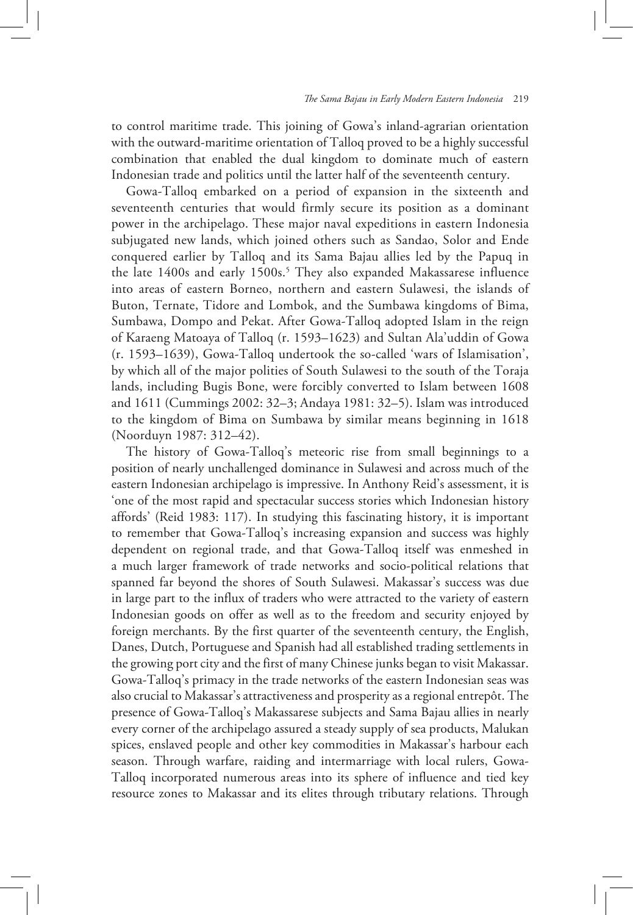to control maritime trade. This joining of Gowa's inland-agrarian orientation with the outward-maritime orientation of Talloq proved to be a highly successful combination that enabled the dual kingdom to dominate much of eastern Indonesian trade and politics until the latter half of the seventeenth century.

Gowa-Talloq embarked on a period of expansion in the sixteenth and seventeenth centuries that would firmly secure its position as a dominant power in the archipelago. These major naval expeditions in eastern Indonesia subjugated new lands, which joined others such as Sandao, Solor and Ende conquered earlier by Talloq and its Sama Bajau allies led by the Papuq in the late 1400s and early 1500s.<sup>5</sup> They also expanded Makassarese influence into areas of eastern Borneo, northern and eastern Sulawesi, the islands of Buton, Ternate, Tidore and Lombok, and the Sumbawa kingdoms of Bima, Sumbawa, Dompo and Pekat. After Gowa-Talloq adopted Islam in the reign of Karaeng Matoaya of Talloq (r. 1593–1623) and Sultan Ala'uddin of Gowa (r. 1593–1639), Gowa-Talloq undertook the so-called 'wars of Islamisation', by which all of the major polities of South Sulawesi to the south of the Toraja lands, including Bugis Bone, were forcibly converted to Islam between 1608 and 1611 (Cummings 2002: 32–3; Andaya 1981: 32–5). Islam was introduced to the kingdom of Bima on Sumbawa by similar means beginning in 1618 (Noorduyn 1987: 312–42).

The history of Gowa-Talloq's meteoric rise from small beginnings to a position of nearly unchallenged dominance in Sulawesi and across much of the eastern Indonesian archipelago is impressive. In Anthony Reid's assessment, it is 'one of the most rapid and spectacular success stories which Indonesian history affords' (Reid 1983: 117). In studying this fascinating history, it is important to remember that Gowa-Talloq's increasing expansion and success was highly dependent on regional trade, and that Gowa-Talloq itself was enmeshed in a much larger framework of trade networks and socio-political relations that spanned far beyond the shores of South Sulawesi. Makassar's success was due in large part to the influx of traders who were attracted to the variety of eastern Indonesian goods on offer as well as to the freedom and security enjoyed by foreign merchants. By the first quarter of the seventeenth century, the English, Danes, Dutch, Portuguese and Spanish had all established trading settlements in the growing port city and the first of many Chinese junks began to visit Makassar. Gowa-Talloq's primacy in the trade networks of the eastern Indonesian seas was also crucial to Makassar's attractiveness and prosperity as a regional entrepôt. The presence of Gowa-Talloq's Makassarese subjects and Sama Bajau allies in nearly every corner of the archipelago assured a steady supply of sea products, Malukan spices, enslaved people and other key commodities in Makassar's harbour each season. Through warfare, raiding and intermarriage with local rulers, Gowa-Talloq incorporated numerous areas into its sphere of influence and tied key resource zones to Makassar and its elites through tributary relations. Through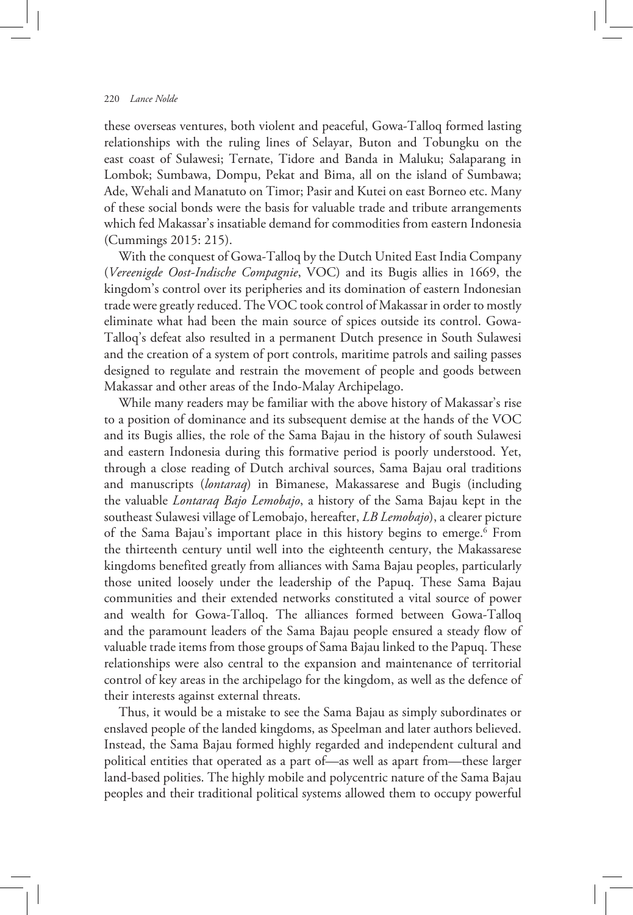these overseas ventures, both violent and peaceful, Gowa-Talloq formed lasting relationships with the ruling lines of Selayar, Buton and Tobungku on the east coast of Sulawesi; Ternate, Tidore and Banda in Maluku; Salaparang in Lombok; Sumbawa, Dompu, Pekat and Bima, all on the island of Sumbawa; Ade, Wehali and Manatuto on Timor; Pasir and Kutei on east Borneo etc. Many of these social bonds were the basis for valuable trade and tribute arrangements which fed Makassar's insatiable demand for commodities from eastern Indonesia (Cummings 2015: 215).

With the conquest of Gowa-Talloq by the Dutch United East India Company (*Vereenigde Oost-Indische Compagnie*, VOC) and its Bugis allies in 1669, the kingdom's control over its peripheries and its domination of eastern Indonesian trade were greatly reduced. The VOC took control of Makassar in order to mostly eliminate what had been the main source of spices outside its control. Gowa-Talloq's defeat also resulted in a permanent Dutch presence in South Sulawesi and the creation of a system of port controls, maritime patrols and sailing passes designed to regulate and restrain the movement of people and goods between Makassar and other areas of the Indo-Malay Archipelago.

While many readers may be familiar with the above history of Makassar's rise to a position of dominance and its subsequent demise at the hands of the VOC and its Bugis allies, the role of the Sama Bajau in the history of south Sulawesi and eastern Indonesia during this formative period is poorly understood. Yet, through a close reading of Dutch archival sources, Sama Bajau oral traditions and manuscripts (*lontaraq*) in Bimanese, Makassarese and Bugis (including the valuable *Lontaraq Bajo Lemobajo*, a history of the Sama Bajau kept in the southeast Sulawesi village of Lemobajo, hereafter, *LB Lemobajo*), a clearer picture of the Sama Bajau's important place in this history begins to emerge.6 From the thirteenth century until well into the eighteenth century, the Makassarese kingdoms benefited greatly from alliances with Sama Bajau peoples, particularly those united loosely under the leadership of the Papuq. These Sama Bajau communities and their extended networks constituted a vital source of power and wealth for Gowa-Talloq. The alliances formed between Gowa-Talloq and the paramount leaders of the Sama Bajau people ensured a steady flow of valuable trade items from those groups of Sama Bajau linked to the Papuq. These relationships were also central to the expansion and maintenance of territorial control of key areas in the archipelago for the kingdom, as well as the defence of their interests against external threats.

Thus, it would be a mistake to see the Sama Bajau as simply subordinates or enslaved people of the landed kingdoms, as Speelman and later authors believed. Instead, the Sama Bajau formed highly regarded and independent cultural and political entities that operated as a part of—as well as apart from—these larger land-based polities. The highly mobile and polycentric nature of the Sama Bajau peoples and their traditional political systems allowed them to occupy powerful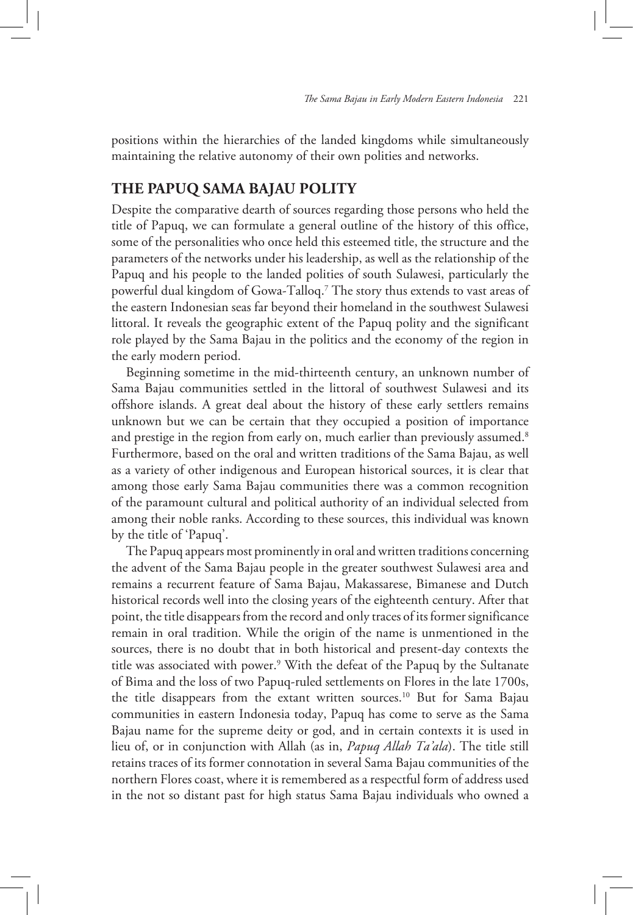positions within the hierarchies of the landed kingdoms while simultaneously maintaining the relative autonomy of their own polities and networks.

## **THE PAPUQ SAMA BAJAU POLITY**

Despite the comparative dearth of sources regarding those persons who held the title of Papuq, we can formulate a general outline of the history of this office, some of the personalities who once held this esteemed title, the structure and the parameters of the networks under his leadership, as well as the relationship of the Papuq and his people to the landed polities of south Sulawesi, particularly the powerful dual kingdom of Gowa-Talloq.7 The story thus extends to vast areas of the eastern Indonesian seas far beyond their homeland in the southwest Sulawesi littoral. It reveals the geographic extent of the Papuq polity and the significant role played by the Sama Bajau in the politics and the economy of the region in the early modern period.

Beginning sometime in the mid-thirteenth century, an unknown number of Sama Bajau communities settled in the littoral of southwest Sulawesi and its offshore islands. A great deal about the history of these early settlers remains unknown but we can be certain that they occupied a position of importance and prestige in the region from early on, much earlier than previously assumed.<sup>8</sup> Furthermore, based on the oral and written traditions of the Sama Bajau, as well as a variety of other indigenous and European historical sources, it is clear that among those early Sama Bajau communities there was a common recognition of the paramount cultural and political authority of an individual selected from among their noble ranks. According to these sources, this individual was known by the title of 'Papuq'.

The Papuq appears most prominently in oral and written traditions concerning the advent of the Sama Bajau people in the greater southwest Sulawesi area and remains a recurrent feature of Sama Bajau, Makassarese, Bimanese and Dutch historical records well into the closing years of the eighteenth century. After that point, the title disappears from the record and only traces of its former significance remain in oral tradition. While the origin of the name is unmentioned in the sources, there is no doubt that in both historical and present-day contexts the title was associated with power.9 With the defeat of the Papuq by the Sultanate of Bima and the loss of two Papuq-ruled settlements on Flores in the late 1700s, the title disappears from the extant written sources.10 But for Sama Bajau communities in eastern Indonesia today, Papuq has come to serve as the Sama Bajau name for the supreme deity or god, and in certain contexts it is used in lieu of, or in conjunction with Allah (as in, *Papuq Allah Ta'ala*). The title still retains traces of its former connotation in several Sama Bajau communities of the northern Flores coast, where it is remembered as a respectful form of address used in the not so distant past for high status Sama Bajau individuals who owned a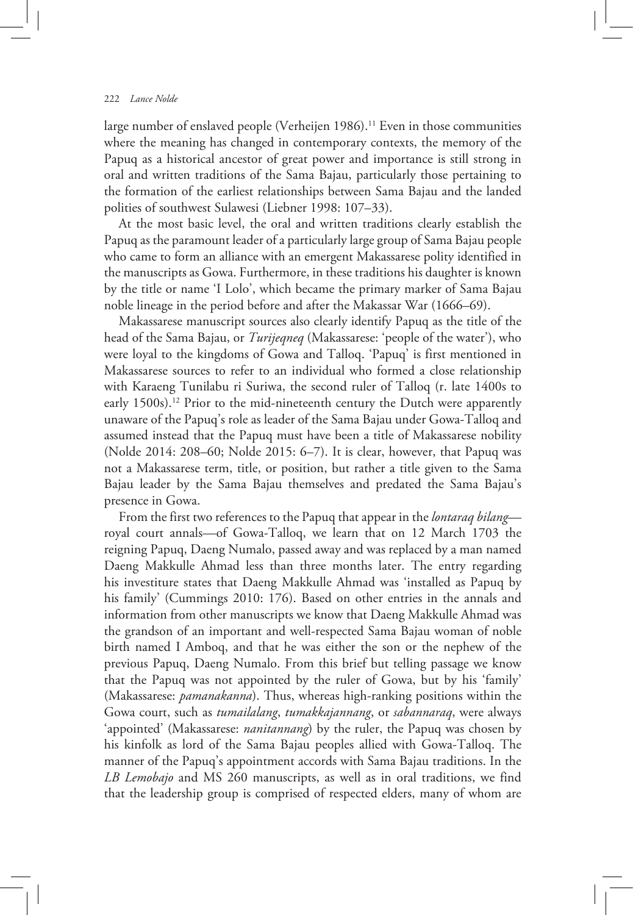large number of enslaved people (Verheijen 1986).<sup>11</sup> Even in those communities where the meaning has changed in contemporary contexts, the memory of the Papuq as a historical ancestor of great power and importance is still strong in oral and written traditions of the Sama Bajau, particularly those pertaining to the formation of the earliest relationships between Sama Bajau and the landed polities of southwest Sulawesi (Liebner 1998: 107–33).

At the most basic level, the oral and written traditions clearly establish the Papuq as the paramount leader of a particularly large group of Sama Bajau people who came to form an alliance with an emergent Makassarese polity identified in the manuscripts as Gowa. Furthermore, in these traditions his daughter is known by the title or name 'I Lolo', which became the primary marker of Sama Bajau noble lineage in the period before and after the Makassar War (1666–69).

Makassarese manuscript sources also clearly identify Papuq as the title of the head of the Sama Bajau, or *Turijeqneq* (Makassarese: 'people of the water'), who were loyal to the kingdoms of Gowa and Talloq. 'Papuq' is first mentioned in Makassarese sources to refer to an individual who formed a close relationship with Karaeng Tunilabu ri Suriwa, the second ruler of Talloq (r. late 1400s to early 1500s).<sup>12</sup> Prior to the mid-nineteenth century the Dutch were apparently unaware of the Papuq's role as leader of the Sama Bajau under Gowa-Talloq and assumed instead that the Papuq must have been a title of Makassarese nobility (Nolde 2014: 208–60; Nolde 2015: 6–7). It is clear, however, that Papuq was not a Makassarese term, title, or position, but rather a title given to the Sama Bajau leader by the Sama Bajau themselves and predated the Sama Bajau's presence in Gowa.

From the first two references to the Papuq that appear in the *lontaraq bilang* royal court annals—of Gowa-Talloq, we learn that on 12 March 1703 the reigning Papuq, Daeng Numalo, passed away and was replaced by a man named Daeng Makkulle Ahmad less than three months later. The entry regarding his investiture states that Daeng Makkulle Ahmad was 'installed as Papuq by his family' (Cummings 2010: 176). Based on other entries in the annals and information from other manuscripts we know that Daeng Makkulle Ahmad was the grandson of an important and well-respected Sama Bajau woman of noble birth named I Amboq, and that he was either the son or the nephew of the previous Papuq, Daeng Numalo. From this brief but telling passage we know that the Papuq was not appointed by the ruler of Gowa, but by his 'family' (Makassarese: *pamanakanna*). Thus, whereas high-ranking positions within the Gowa court, such as *tumailalang*, *tumakkajannang*, or *sabannaraq*, were always 'appointed' (Makassarese: *nanitannang*) by the ruler, the Papuq was chosen by his kinfolk as lord of the Sama Bajau peoples allied with Gowa-Talloq. The manner of the Papuq's appointment accords with Sama Bajau traditions. In the *LB Lemobajo* and MS 260 manuscripts, as well as in oral traditions, we find that the leadership group is comprised of respected elders, many of whom are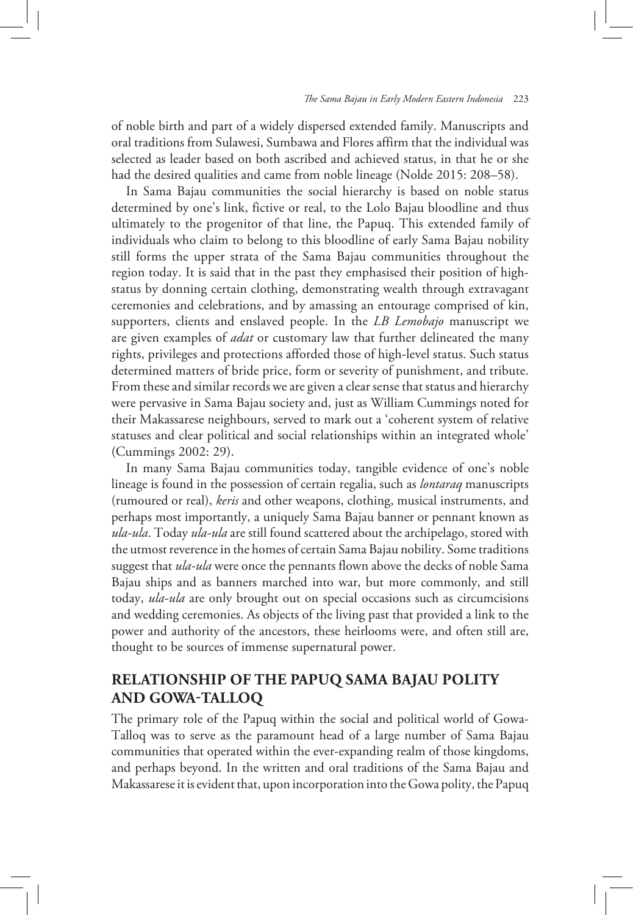of noble birth and part of a widely dispersed extended family. Manuscripts and oral traditions from Sulawesi, Sumbawa and Flores affirm that the individual was selected as leader based on both ascribed and achieved status, in that he or she had the desired qualities and came from noble lineage (Nolde 2015: 208–58).

In Sama Bajau communities the social hierarchy is based on noble status determined by one's link, fictive or real, to the Lolo Bajau bloodline and thus ultimately to the progenitor of that line, the Papuq. This extended family of individuals who claim to belong to this bloodline of early Sama Bajau nobility still forms the upper strata of the Sama Bajau communities throughout the region today. It is said that in the past they emphasised their position of highstatus by donning certain clothing, demonstrating wealth through extravagant ceremonies and celebrations, and by amassing an entourage comprised of kin, supporters, clients and enslaved people. In the *LB Lemobajo* manuscript we are given examples of *adat* or customary law that further delineated the many rights, privileges and protections afforded those of high-level status. Such status determined matters of bride price, form or severity of punishment, and tribute. From these and similar records we are given a clear sense that status and hierarchy were pervasive in Sama Bajau society and, just as William Cummings noted for their Makassarese neighbours, served to mark out a 'coherent system of relative statuses and clear political and social relationships within an integrated whole' (Cummings 2002: 29).

In many Sama Bajau communities today, tangible evidence of one's noble lineage is found in the possession of certain regalia, such as *lontaraq* manuscripts (rumoured or real), *keris* and other weapons, clothing, musical instruments, and perhaps most importantly, a uniquely Sama Bajau banner or pennant known as *ula-ula*. Today *ula-ula* are still found scattered about the archipelago, stored with the utmost reverence in the homes of certain Sama Bajau nobility. Some traditions suggest that *ula-ula* were once the pennants flown above the decks of noble Sama Bajau ships and as banners marched into war, but more commonly, and still today, *ula-ula* are only brought out on special occasions such as circumcisions and wedding ceremonies. As objects of the living past that provided a link to the power and authority of the ancestors, these heirlooms were, and often still are, thought to be sources of immense supernatural power.

## **RELATIONSHIP OF THE PAPUQ SAMA BAJAU POLITY AND GOWA-TALLOQ**

The primary role of the Papuq within the social and political world of Gowa-Talloq was to serve as the paramount head of a large number of Sama Bajau communities that operated within the ever-expanding realm of those kingdoms, and perhaps beyond. In the written and oral traditions of the Sama Bajau and Makassarese it is evident that, upon incorporation into the Gowa polity, the Papuq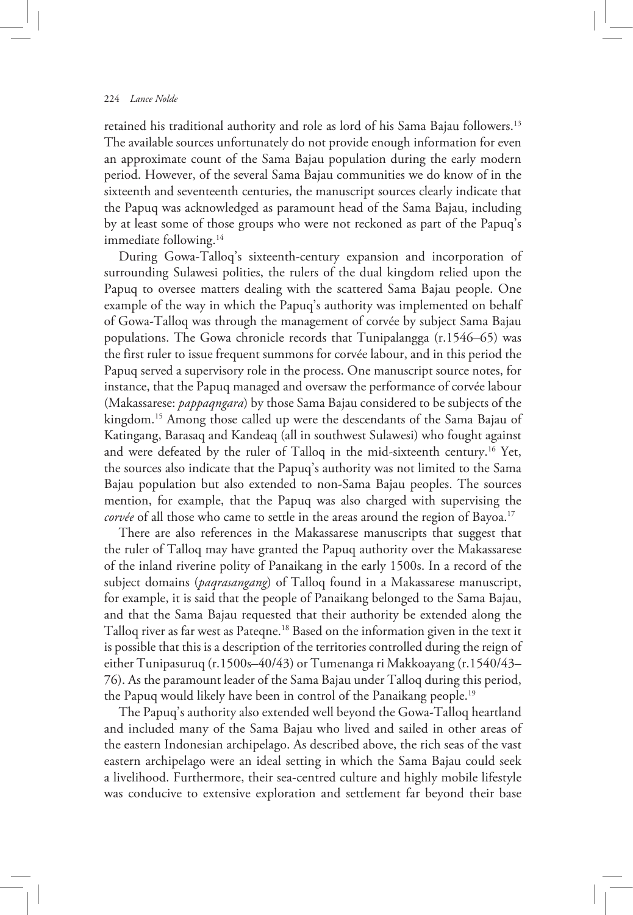retained his traditional authority and role as lord of his Sama Bajau followers.13 The available sources unfortunately do not provide enough information for even an approximate count of the Sama Bajau population during the early modern period. However, of the several Sama Bajau communities we do know of in the sixteenth and seventeenth centuries, the manuscript sources clearly indicate that the Papuq was acknowledged as paramount head of the Sama Bajau, including by at least some of those groups who were not reckoned as part of the Papuq's immediate following.<sup>14</sup>

During Gowa-Talloq's sixteenth-century expansion and incorporation of surrounding Sulawesi polities, the rulers of the dual kingdom relied upon the Papuq to oversee matters dealing with the scattered Sama Bajau people. One example of the way in which the Papuq's authority was implemented on behalf of Gowa-Talloq was through the management of corvée by subject Sama Bajau populations. The Gowa chronicle records that Tunipalangga (r.1546–65) was the first ruler to issue frequent summons for corvée labour, and in this period the Papuq served a supervisory role in the process. One manuscript source notes, for instance, that the Papuq managed and oversaw the performance of corvée labour (Makassarese: *pappaqngara*) by those Sama Bajau considered to be subjects of the kingdom.15 Among those called up were the descendants of the Sama Bajau of Katingang, Barasaq and Kandeaq (all in southwest Sulawesi) who fought against and were defeated by the ruler of Talloq in the mid-sixteenth century.16 Yet, the sources also indicate that the Papuq's authority was not limited to the Sama Bajau population but also extended to non-Sama Bajau peoples. The sources mention, for example, that the Papuq was also charged with supervising the *corvée* of all those who came to settle in the areas around the region of Bayoa.<sup>17</sup>

There are also references in the Makassarese manuscripts that suggest that the ruler of Talloq may have granted the Papuq authority over the Makassarese of the inland riverine polity of Panaikang in the early 1500s. In a record of the subject domains (*paqrasangang*) of Talloq found in a Makassarese manuscript, for example, it is said that the people of Panaikang belonged to the Sama Bajau, and that the Sama Bajau requested that their authority be extended along the Talloq river as far west as Pateqne.18 Based on the information given in the text it is possible that this is a description of the territories controlled during the reign of either Tunipasuruq (r.1500s–40/43) or Tumenanga ri Makkoayang (r.1540/43– 76). As the paramount leader of the Sama Bajau under Talloq during this period, the Papuq would likely have been in control of the Panaikang people.<sup>19</sup>

The Papuq's authority also extended well beyond the Gowa-Talloq heartland and included many of the Sama Bajau who lived and sailed in other areas of the eastern Indonesian archipelago. As described above, the rich seas of the vast eastern archipelago were an ideal setting in which the Sama Bajau could seek a livelihood. Furthermore, their sea-centred culture and highly mobile lifestyle was conducive to extensive exploration and settlement far beyond their base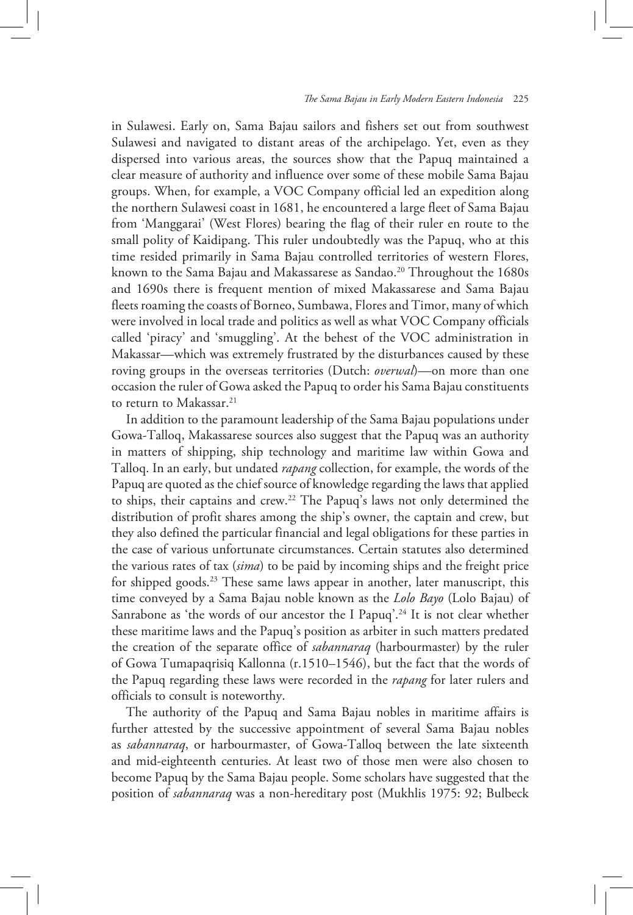in Sulawesi. Early on, Sama Bajau sailors and fishers set out from southwest Sulawesi and navigated to distant areas of the archipelago. Yet, even as they dispersed into various areas, the sources show that the Papuq maintained a clear measure of authority and influence over some of these mobile Sama Bajau groups. When, for example, a VOC Company official led an expedition along the northern Sulawesi coast in 1681, he encountered a large fleet of Sama Bajau from 'Manggarai' (West Flores) bearing the flag of their ruler en route to the small polity of Kaidipang. This ruler undoubtedly was the Papuq, who at this time resided primarily in Sama Bajau controlled territories of western Flores, known to the Sama Bajau and Makassarese as Sandao.<sup>20</sup> Throughout the 1680s and 1690s there is frequent mention of mixed Makassarese and Sama Bajau fleets roaming the coasts of Borneo, Sumbawa, Flores and Timor, many of which were involved in local trade and politics as well as what VOC Company officials called 'piracy' and 'smuggling'. At the behest of the VOC administration in Makassar—which was extremely frustrated by the disturbances caused by these roving groups in the overseas territories (Dutch: *overwal*)—on more than one occasion the ruler of Gowa asked the Papuq to order his Sama Bajau constituents to return to Makassar.<sup>21</sup>

In addition to the paramount leadership of the Sama Bajau populations under Gowa-Talloq, Makassarese sources also suggest that the Papuq was an authority in matters of shipping, ship technology and maritime law within Gowa and Talloq. In an early, but undated *rapang* collection, for example, the words of the Papuq are quoted as the chief source of knowledge regarding the laws that applied to ships, their captains and crew.22 The Papuq's laws not only determined the distribution of profit shares among the ship's owner, the captain and crew, but they also defined the particular financial and legal obligations for these parties in the case of various unfortunate circumstances. Certain statutes also determined the various rates of tax (*sima*) to be paid by incoming ships and the freight price for shipped goods.<sup>23</sup> These same laws appear in another, later manuscript, this time conveyed by a Sama Bajau noble known as the *Lolo Bayo* (Lolo Bajau) of Sanrabone as 'the words of our ancestor the I Papuq'.<sup>24</sup> It is not clear whether these maritime laws and the Papuq's position as arbiter in such matters predated the creation of the separate office of *sabannaraq* (harbourmaster) by the ruler of Gowa Tumapaqrisiq Kallonna (r.1510–1546), but the fact that the words of the Papuq regarding these laws were recorded in the *rapang* for later rulers and officials to consult is noteworthy.

The authority of the Papuq and Sama Bajau nobles in maritime affairs is further attested by the successive appointment of several Sama Bajau nobles as *sabannaraq*, or harbourmaster, of Gowa-Talloq between the late sixteenth and mid-eighteenth centuries. At least two of those men were also chosen to become Papuq by the Sama Bajau people. Some scholars have suggested that the position of *sabannaraq* was a non-hereditary post (Mukhlis 1975: 92; Bulbeck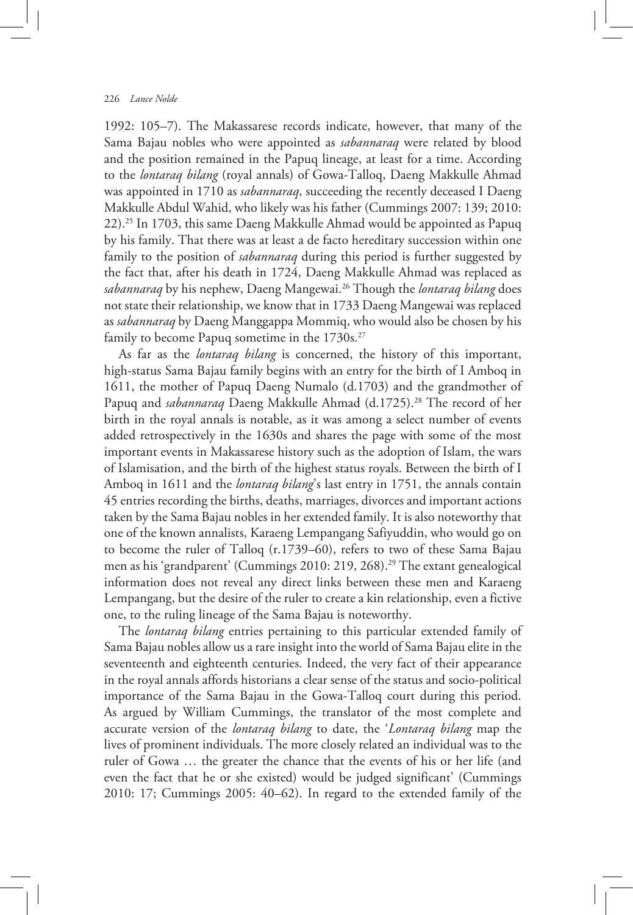1992: 105–7). The Makassarese records indicate, however, that many of the Sama Bajau nobles who were appointed as *sabannaraq* were related by blood and the position remained in the Papuq lineage, at least for a time. According to the *lontaraq bilang* (royal annals) of Gowa-Talloq, Daeng Makkulle Ahmad was appointed in 1710 as *sabannaraq*, succeeding the recently deceased I Daeng Makkulle Abdul Wahid, who likely was his father (Cummings 2007: 139; 2010: 22).25 In 1703, this same Daeng Makkulle Ahmad would be appointed as Papuq by his family. That there was at least a de facto hereditary succession within one family to the position of *sabannaraq* during this period is further suggested by the fact that, after his death in 1724, Daeng Makkulle Ahmad was replaced as *sabannaraq* by his nephew, Daeng Mangewai.26 Though the *lontaraq bilang* does not state their relationship, we know that in 1733 Daeng Mangewai was replaced as *sabannaraq* by Daeng Manggappa Mommiq, who would also be chosen by his family to become Papuq sometime in the 1730s.<sup>27</sup>

As far as the *lontaraq bilang* is concerned, the history of this important, high-status Sama Bajau family begins with an entry for the birth of I Amboq in 1611, the mother of Papuq Daeng Numalo (d.1703) and the grandmother of Papuq and *sabannaraq* Daeng Makkulle Ahmad (d.1725).<sup>28</sup> The record of her birth in the royal annals is notable, as it was among a select number of events added retrospectively in the 1630s and shares the page with some of the most important events in Makassarese history such as the adoption of Islam, the wars of Islamisation, and the birth of the highest status royals. Between the birth of I Amboq in 1611 and the *lontaraq bilang*'s last entry in 1751, the annals contain 45 entries recording the births, deaths, marriages, divorces and important actions taken by the Sama Bajau nobles in her extended family. It is also noteworthy that one of the known annalists, Karaeng Lempangang Safiyuddin, who would go on to become the ruler of Talloq (r.1739–60), refers to two of these Sama Bajau men as his 'grandparent' (Cummings 2010: 219, 268).<sup>29</sup> The extant genealogical information does not reveal any direct links between these men and Karaeng Lempangang, but the desire of the ruler to create a kin relationship, even a fictive one, to the ruling lineage of the Sama Bajau is noteworthy.

The *lontaraq bilang* entries pertaining to this particular extended family of Sama Bajau nobles allow us a rare insight into the world of Sama Bajau elite in the seventeenth and eighteenth centuries. Indeed, the very fact of their appearance in the royal annals affords historians a clear sense of the status and socio-political importance of the Sama Bajau in the Gowa-Talloq court during this period. As argued by William Cummings, the translator of the most complete and accurate version of the *lontaraq bilang* to date, the '*Lontaraq bilang* map the lives of prominent individuals. The more closely related an individual was to the ruler of Gowa … the greater the chance that the events of his or her life (and even the fact that he or she existed) would be judged significant' (Cummings 2010: 17; Cummings 2005: 40–62). In regard to the extended family of the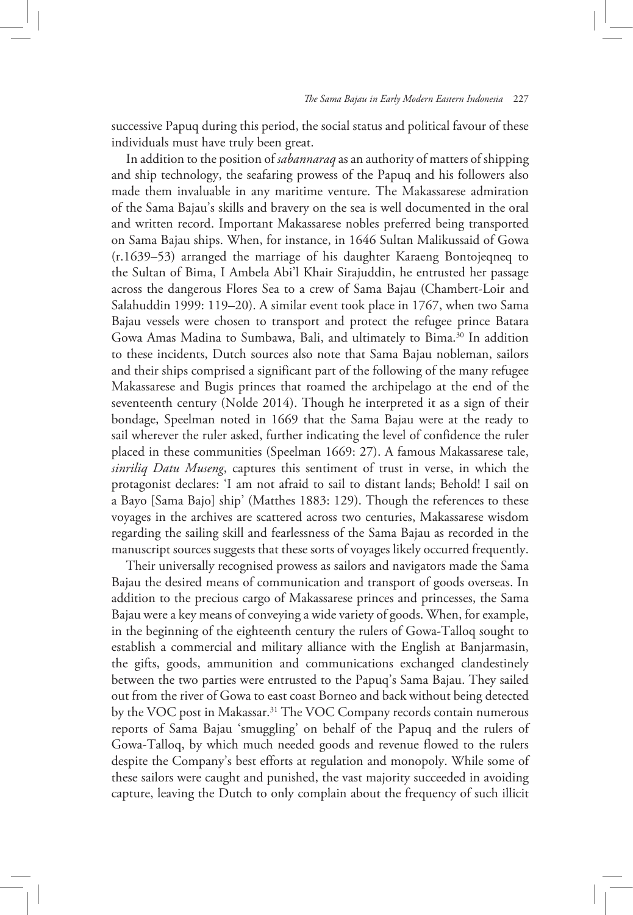successive Papuq during this period, the social status and political favour of these individuals must have truly been great.

In addition to the position of *sabannaraq* as an authority of matters of shipping and ship technology, the seafaring prowess of the Papuq and his followers also made them invaluable in any maritime venture. The Makassarese admiration of the Sama Bajau's skills and bravery on the sea is well documented in the oral and written record. Important Makassarese nobles preferred being transported on Sama Bajau ships. When, for instance, in 1646 Sultan Malikussaid of Gowa (r.1639–53) arranged the marriage of his daughter Karaeng Bontojeqneq to the Sultan of Bima, I Ambela Abi'l Khair Sirajuddin, he entrusted her passage across the dangerous Flores Sea to a crew of Sama Bajau (Chambert-Loir and Salahuddin 1999: 119–20). A similar event took place in 1767, when two Sama Bajau vessels were chosen to transport and protect the refugee prince Batara Gowa Amas Madina to Sumbawa, Bali, and ultimately to Bima.30 In addition to these incidents, Dutch sources also note that Sama Bajau nobleman, sailors and their ships comprised a significant part of the following of the many refugee Makassarese and Bugis princes that roamed the archipelago at the end of the seventeenth century (Nolde 2014). Though he interpreted it as a sign of their bondage, Speelman noted in 1669 that the Sama Bajau were at the ready to sail wherever the ruler asked, further indicating the level of confidence the ruler placed in these communities (Speelman 1669: 27). A famous Makassarese tale, *sinriliq Datu Museng*, captures this sentiment of trust in verse, in which the protagonist declares: 'I am not afraid to sail to distant lands; Behold! I sail on a Bayo [Sama Bajo] ship' (Matthes 1883: 129). Though the references to these voyages in the archives are scattered across two centuries, Makassarese wisdom regarding the sailing skill and fearlessness of the Sama Bajau as recorded in the manuscript sources suggests that these sorts of voyages likely occurred frequently.

Their universally recognised prowess as sailors and navigators made the Sama Bajau the desired means of communication and transport of goods overseas. In addition to the precious cargo of Makassarese princes and princesses, the Sama Bajau were a key means of conveying a wide variety of goods. When, for example, in the beginning of the eighteenth century the rulers of Gowa-Talloq sought to establish a commercial and military alliance with the English at Banjarmasin, the gifts, goods, ammunition and communications exchanged clandestinely between the two parties were entrusted to the Papuq's Sama Bajau. They sailed out from the river of Gowa to east coast Borneo and back without being detected by the VOC post in Makassar.31 The VOC Company records contain numerous reports of Sama Bajau 'smuggling' on behalf of the Papuq and the rulers of Gowa-Talloq, by which much needed goods and revenue flowed to the rulers despite the Company's best efforts at regulation and monopoly. While some of these sailors were caught and punished, the vast majority succeeded in avoiding capture, leaving the Dutch to only complain about the frequency of such illicit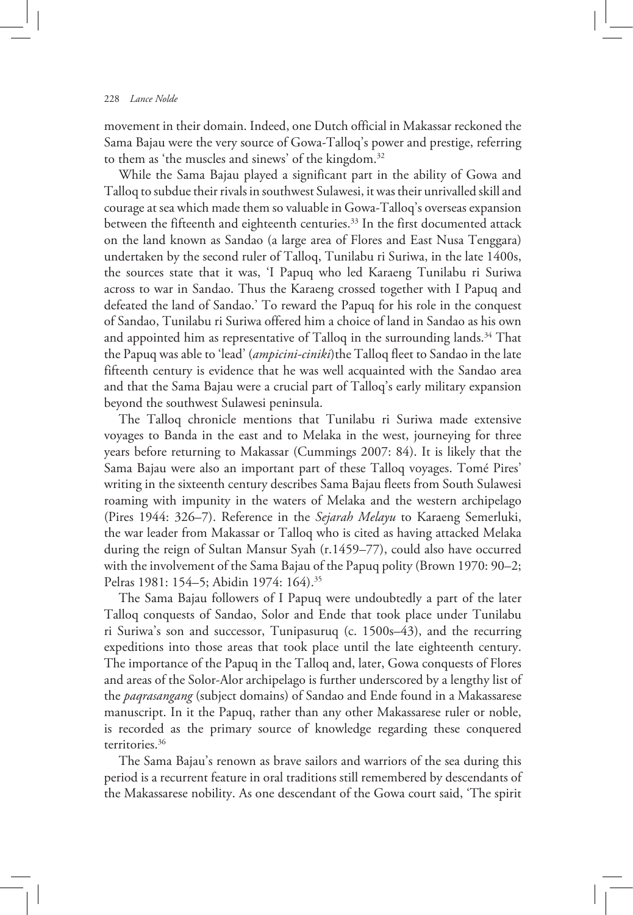movement in their domain. Indeed, one Dutch official in Makassar reckoned the Sama Bajau were the very source of Gowa-Talloq's power and prestige, referring to them as 'the muscles and sinews' of the kingdom.<sup>32</sup>

While the Sama Bajau played a significant part in the ability of Gowa and Talloq to subdue their rivals in southwest Sulawesi, it was their unrivalled skill and courage at sea which made them so valuable in Gowa-Talloq's overseas expansion between the fifteenth and eighteenth centuries.<sup>33</sup> In the first documented attack on the land known as Sandao (a large area of Flores and East Nusa Tenggara) undertaken by the second ruler of Talloq, Tunilabu ri Suriwa, in the late 1400s, the sources state that it was, 'I Papuq who led Karaeng Tunilabu ri Suriwa across to war in Sandao. Thus the Karaeng crossed together with I Papuq and defeated the land of Sandao.' To reward the Papuq for his role in the conquest of Sandao, Tunilabu ri Suriwa offered him a choice of land in Sandao as his own and appointed him as representative of Talloq in the surrounding lands.<sup>34</sup> That the Papuq was able to 'lead' (*ampicini-ciniki*)the Talloq fleet to Sandao in the late fifteenth century is evidence that he was well acquainted with the Sandao area and that the Sama Bajau were a crucial part of Talloq's early military expansion beyond the southwest Sulawesi peninsula.

The Talloq chronicle mentions that Tunilabu ri Suriwa made extensive voyages to Banda in the east and to Melaka in the west, journeying for three years before returning to Makassar (Cummings 2007: 84). It is likely that the Sama Bajau were also an important part of these Talloq voyages. Tomé Pires' writing in the sixteenth century describes Sama Bajau fleets from South Sulawesi roaming with impunity in the waters of Melaka and the western archipelago (Pires 1944: 326–7). Reference in the *Sejarah Melayu* to Karaeng Semerluki, the war leader from Makassar or Talloq who is cited as having attacked Melaka during the reign of Sultan Mansur Syah (r.1459–77), could also have occurred with the involvement of the Sama Bajau of the Papuq polity (Brown 1970: 90–2; Pelras 1981: 154–5; Abidin 1974: 164).<sup>35</sup>

The Sama Bajau followers of I Papuq were undoubtedly a part of the later Talloq conquests of Sandao, Solor and Ende that took place under Tunilabu ri Suriwa's son and successor, Tunipasuruq (c. 1500s–43), and the recurring expeditions into those areas that took place until the late eighteenth century. The importance of the Papuq in the Talloq and, later, Gowa conquests of Flores and areas of the Solor-Alor archipelago is further underscored by a lengthy list of the *paqrasangang* (subject domains) of Sandao and Ende found in a Makassarese manuscript. In it the Papuq, rather than any other Makassarese ruler or noble, is recorded as the primary source of knowledge regarding these conquered territories.36

The Sama Bajau's renown as brave sailors and warriors of the sea during this period is a recurrent feature in oral traditions still remembered by descendants of the Makassarese nobility. As one descendant of the Gowa court said, 'The spirit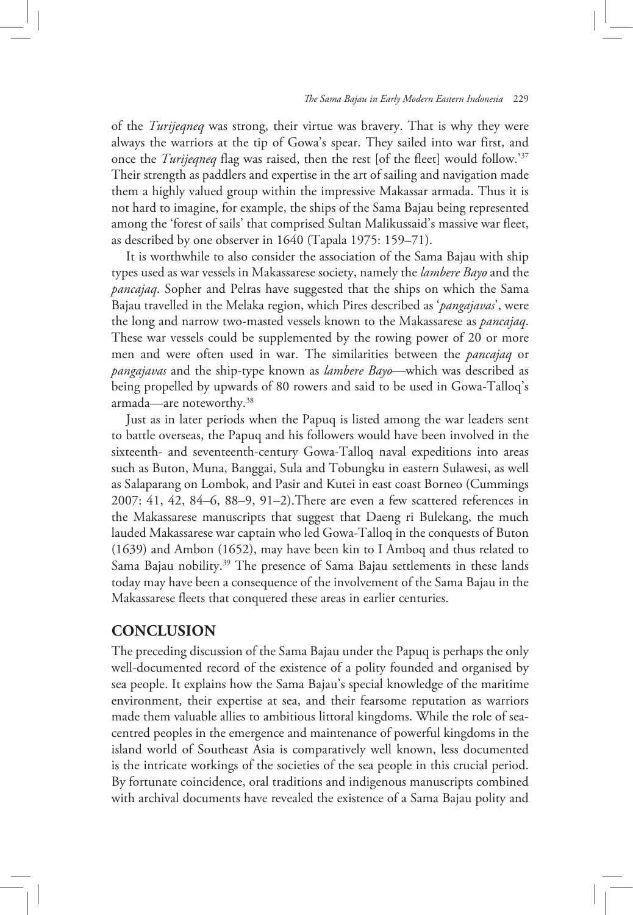of the *Turijeqneq* was strong, their virtue was bravery. That is why they were always the warriors at the tip of Gowa's spear. They sailed into war first, and once the *Turijeqneq* flag was raised, then the rest [of the fleet] would follow.'37 Their strength as paddlers and expertise in the art of sailing and navigation made them a highly valued group within the impressive Makassar armada. Thus it is not hard to imagine, for example, the ships of the Sama Bajau being represented among the 'forest of sails' that comprised Sultan Malikussaid's massive war fleet, as described by one observer in 1640 (Tapala 1975: 159–71).

It is worthwhile to also consider the association of the Sama Bajau with ship types used as war vessels in Makassarese society, namely the *lambere Bayo* and the *pancajaq*. Sopher and Pelras have suggested that the ships on which the Sama Bajau travelled in the Melaka region, which Pires described as '*pangajavas*', were the long and narrow two-masted vessels known to the Makassarese as *pancajaq*. These war vessels could be supplemented by the rowing power of 20 or more men and were often used in war. The similarities between the *pancajaq* or *pangajavas* and the ship-type known as *lambere Bayo*—which was described as being propelled by upwards of 80 rowers and said to be used in Gowa-Talloq's armada—are noteworthy.38

Just as in later periods when the Papuq is listed among the war leaders sent to battle overseas, the Papuq and his followers would have been involved in the sixteenth- and seventeenth-century Gowa-Talloq naval expeditions into areas such as Buton, Muna, Banggai, Sula and Tobungku in eastern Sulawesi, as well as Salaparang on Lombok, and Pasir and Kutei in east coast Borneo (Cummings 2007: 41, 42, 84–6, 88–9, 91–2).There are even a few scattered references in the Makassarese manuscripts that suggest that Daeng ri Bulekang, the much lauded Makassarese war captain who led Gowa-Talloq in the conquests of Buton (1639) and Ambon (1652), may have been kin to I Amboq and thus related to Sama Bajau nobility.<sup>39</sup> The presence of Sama Bajau settlements in these lands today may have been a consequence of the involvement of the Sama Bajau in the Makassarese fleets that conquered these areas in earlier centuries.

## **CONCLUSION**

The preceding discussion of the Sama Bajau under the Papuq is perhaps the only well-documented record of the existence of a polity founded and organised by sea people. It explains how the Sama Bajau's special knowledge of the maritime environment, their expertise at sea, and their fearsome reputation as warriors made them valuable allies to ambitious littoral kingdoms. While the role of seacentred peoples in the emergence and maintenance of powerful kingdoms in the island world of Southeast Asia is comparatively well known, less documented is the intricate workings of the societies of the sea people in this crucial period. By fortunate coincidence, oral traditions and indigenous manuscripts combined with archival documents have revealed the existence of a Sama Bajau polity and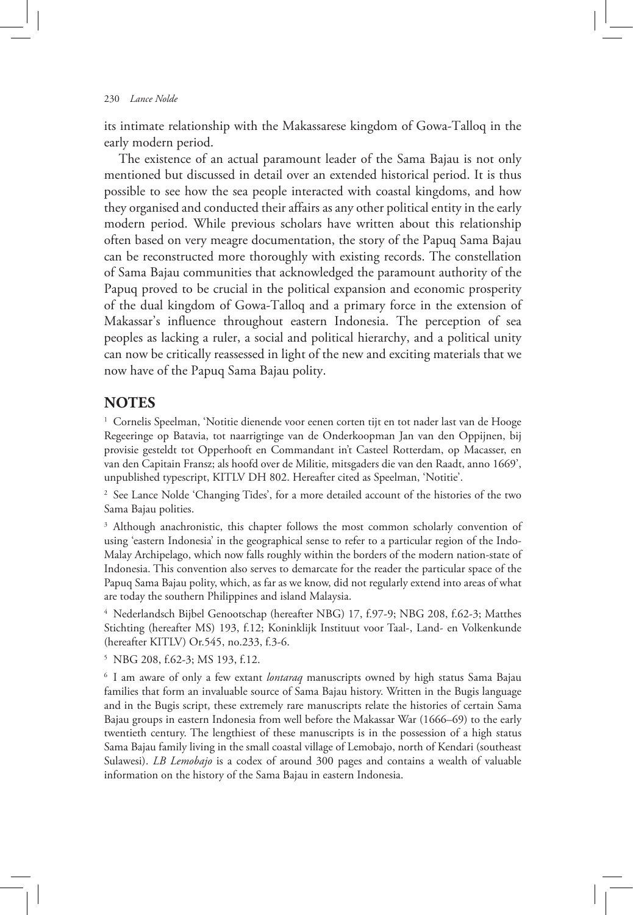its intimate relationship with the Makassarese kingdom of Gowa-Talloq in the early modern period.

The existence of an actual paramount leader of the Sama Bajau is not only mentioned but discussed in detail over an extended historical period. It is thus possible to see how the sea people interacted with coastal kingdoms, and how they organised and conducted their affairs as any other political entity in the early modern period. While previous scholars have written about this relationship often based on very meagre documentation, the story of the Papuq Sama Bajau can be reconstructed more thoroughly with existing records. The constellation of Sama Bajau communities that acknowledged the paramount authority of the Papuq proved to be crucial in the political expansion and economic prosperity of the dual kingdom of Gowa-Talloq and a primary force in the extension of Makassar's influence throughout eastern Indonesia. The perception of sea peoples as lacking a ruler, a social and political hierarchy, and a political unity can now be critically reassessed in light of the new and exciting materials that we now have of the Papuq Sama Bajau polity.

#### **NOTES**

<sup>1</sup> Cornelis Speelman, 'Notitie dienende voor eenen corten tijt en tot nader last van de Hooge Regeeringe op Batavia, tot naarrigtinge van de Onderkoopman Jan van den Oppijnen, bij provisie gesteldt tot Opperhooft en Commandant in't Casteel Rotterdam, op Macasser, en van den Capitain Fransz; als hoofd over de Militie, mitsgaders die van den Raadt, anno 1669', unpublished typescript, KITLV DH 802. Hereafter cited as Speelman, 'Notitie'.

<sup>2</sup> See Lance Nolde 'Changing Tides', for a more detailed account of the histories of the two Sama Bajau polities.

<sup>3</sup> Although anachronistic, this chapter follows the most common scholarly convention of using 'eastern Indonesia' in the geographical sense to refer to a particular region of the Indo-Malay Archipelago, which now falls roughly within the borders of the modern nation-state of Indonesia. This convention also serves to demarcate for the reader the particular space of the Papuq Sama Bajau polity, which, as far as we know, did not regularly extend into areas of what are today the southern Philippines and island Malaysia.

<sup>4</sup> Nederlandsch Bijbel Genootschap (hereafter NBG) 17, f.97-9; NBG 208, f.62-3; Matthes Stichting (hereafter MS) 193, f.12; Koninklijk Instituut voor Taal-, Land- en Volkenkunde (hereafter KITLV) Or.545, no.233, f.3-6.

<sup>5</sup> NBG 208, f.62-3; MS 193, f.12.

<sup>6</sup> I am aware of only a few extant *lontaraq* manuscripts owned by high status Sama Bajau families that form an invaluable source of Sama Bajau history. Written in the Bugis language and in the Bugis script, these extremely rare manuscripts relate the histories of certain Sama Bajau groups in eastern Indonesia from well before the Makassar War (1666–69) to the early twentieth century. The lengthiest of these manuscripts is in the possession of a high status Sama Bajau family living in the small coastal village of Lemobajo, north of Kendari (southeast Sulawesi). *LB Lemobajo* is a codex of around 300 pages and contains a wealth of valuable information on the history of the Sama Bajau in eastern Indonesia.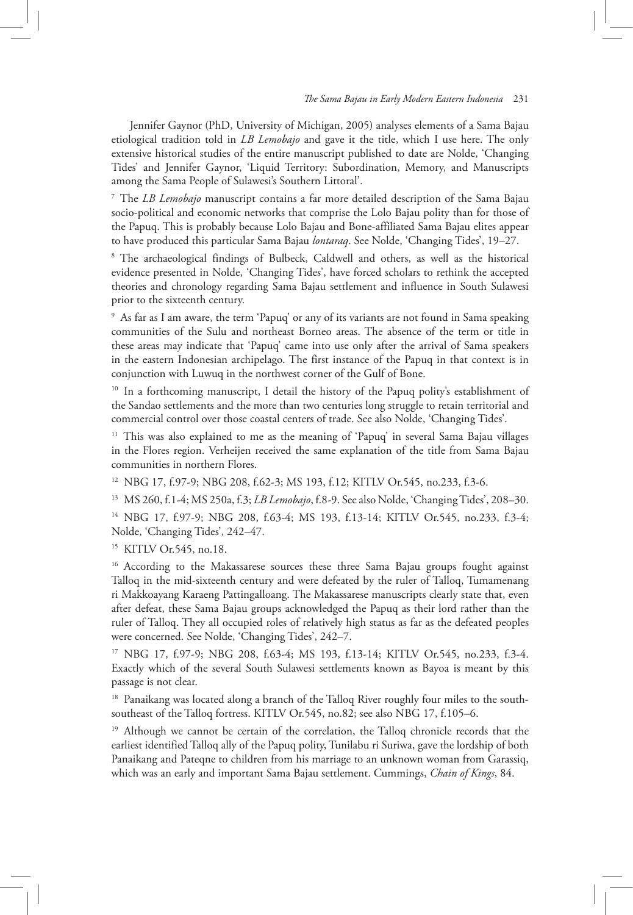Jennifer Gaynor (PhD, University of Michigan, 2005) analyses elements of a Sama Bajau etiological tradition told in *LB Lemobajo* and gave it the title, which I use here. The only extensive historical studies of the entire manuscript published to date are Nolde, 'Changing Tides' and Jennifer Gaynor, 'Liquid Territory: Subordination, Memory, and Manuscripts among the Sama People of Sulawesi's Southern Littoral'.

<sup>7</sup> The *LB Lemobajo* manuscript contains a far more detailed description of the Sama Bajau socio-political and economic networks that comprise the Lolo Bajau polity than for those of the Papuq. This is probably because Lolo Bajau and Bone-affiliated Sama Bajau elites appear to have produced this particular Sama Bajau *lontaraq*. See Nolde, 'Changing Tides', 19–27.

<sup>8</sup> The archaeological findings of Bulbeck, Caldwell and others, as well as the historical evidence presented in Nolde, 'Changing Tides', have forced scholars to rethink the accepted theories and chronology regarding Sama Bajau settlement and influence in South Sulawesi prior to the sixteenth century.

<sup>9</sup> As far as I am aware, the term 'Papuq' or any of its variants are not found in Sama speaking communities of the Sulu and northeast Borneo areas. The absence of the term or title in these areas may indicate that 'Papuq' came into use only after the arrival of Sama speakers in the eastern Indonesian archipelago. The first instance of the Papuq in that context is in conjunction with Luwuq in the northwest corner of the Gulf of Bone.

<sup>10</sup> In a forthcoming manuscript, I detail the history of the Papuq polity's establishment of the Sandao settlements and the more than two centuries long struggle to retain territorial and commercial control over those coastal centers of trade. See also Nolde, 'Changing Tides'.

<sup>11</sup> This was also explained to me as the meaning of 'Papuq' in several Sama Bajau villages in the Flores region. Verheijen received the same explanation of the title from Sama Bajau communities in northern Flores.

<sup>12</sup> NBG 17, f.97-9; NBG 208, f.62-3; MS 193, f.12; KITLV Or.545, no.233, f.3-6.

<sup>13</sup> MS 260, f.1-4; MS 250a, f.3; *LB Lemobajo*, f.8-9. See also Nolde, 'Changing Tides', 208–30.

<sup>14</sup> NBG 17, f.97-9; NBG 208, f.63-4; MS 193, f.13-14; KITLV Or.545, no.233, f.3-4; Nolde, 'Changing Tides', 242–47.

<sup>15</sup> KITLV Or.545, no.18.

<sup>16</sup> According to the Makassarese sources these three Sama Bajau groups fought against Talloq in the mid-sixteenth century and were defeated by the ruler of Talloq, Tumamenang ri Makkoayang Karaeng Pattingalloang. The Makassarese manuscripts clearly state that, even after defeat, these Sama Bajau groups acknowledged the Papuq as their lord rather than the ruler of Talloq. They all occupied roles of relatively high status as far as the defeated peoples were concerned. See Nolde, 'Changing Tides', 242–7.

<sup>17</sup> NBG 17, f.97-9; NBG 208, f.63-4; MS 193, f.13-14; KITLV Or.545, no.233, f.3-4. Exactly which of the several South Sulawesi settlements known as Bayoa is meant by this passage is not clear.

<sup>18</sup> Panaikang was located along a branch of the Talloq River roughly four miles to the southsoutheast of the Talloq fortress. KITLV Or.545, no.82; see also NBG 17, f.105–6.

<sup>19</sup> Although we cannot be certain of the correlation, the Talloq chronicle records that the earliest identified Talloq ally of the Papuq polity, Tunilabu ri Suriwa, gave the lordship of both Panaikang and Pateqne to children from his marriage to an unknown woman from Garassiq, which was an early and important Sama Bajau settlement. Cummings, *Chain of Kings*, 84.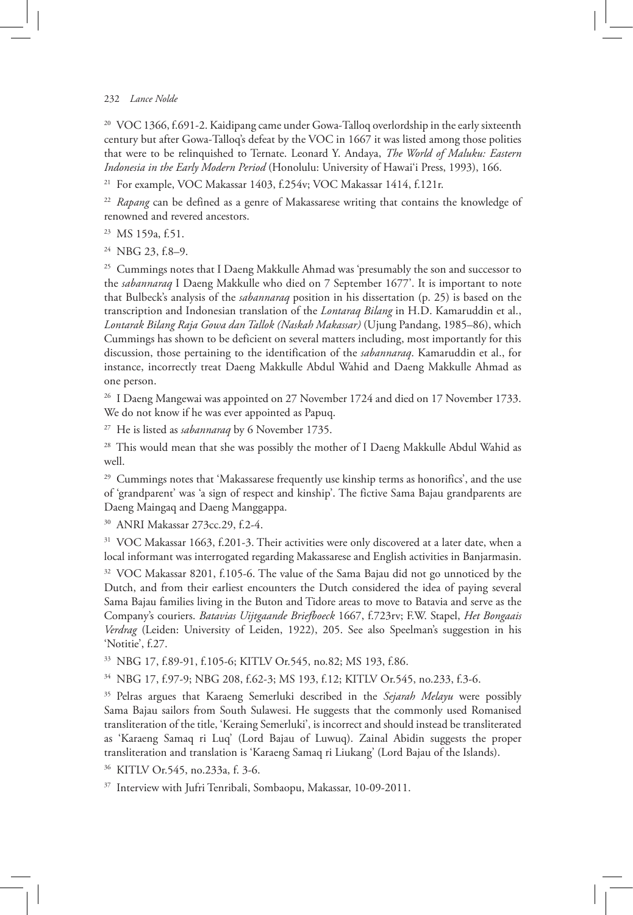#### 232 *Lance Nolde*

<sup>20</sup> VOC 1366, f.691-2. Kaidipang came under Gowa-Talloq overlordship in the early sixteenth century but after Gowa-Talloq's defeat by the VOC in 1667 it was listed among those polities that were to be relinquished to Ternate. Leonard Y. Andaya, *The World of Maluku: Eastern Indonesia in the EarlyModern Period* (Honolulu: University of Hawai'i Press, 1993), 166.

<sup>21</sup> For example, VOC Makassar 1403, f.254v; VOC Makassar 1414, f.121r.

<sup>22</sup> *Rapang* can be defined as a genre of Makassarese writing that contains the knowledge of renowned and revered ancestors.

- <sup>23</sup> MS 159a, f.51.
- <sup>24</sup> NBG 23, f.8–9.

<sup>25</sup> Cummings notes that I Daeng Makkulle Ahmad was 'presumably the son and successor to the *sabannaraq* I Daeng Makkulle who died on 7 September 1677'. It is important to note that Bulbeck's analysis of the *sabannaraq* position in his dissertation (p. 25) is based on the transcription and Indonesian translation of the *Lontaraq Bilang* in H.D. Kamaruddin et al., *Lontarak Bilang Raja Gowa dan Tallok (Naskah Makassar)* (Ujung Pandang, 1985–86), which Cummings has shown to be deficient on several matters including, most importantly for this discussion, those pertaining to the identification of the *sabannaraq*. Kamaruddin et al., for instance, incorrectly treat Daeng Makkulle Abdul Wahid and Daeng Makkulle Ahmad as one person.

<sup>26</sup> I Daeng Mangewai was appointed on 27 November 1724 and died on 17 November 1733. We do not know if he was ever appointed as Papuq.

<sup>27</sup> He is listed as *sabannaraq* by 6 November 1735.

<sup>28</sup> This would mean that she was possibly the mother of I Daeng Makkulle Abdul Wahid as well.

<sup>29</sup> Cummings notes that 'Makassarese frequently use kinship terms as honorifics', and the use of 'grandparent' was 'a sign of respect and kinship'. The fictive Sama Bajau grandparents are Daeng Maingaq and Daeng Manggappa.

<sup>30</sup> ANRI Makassar 273cc.29, f.2-4.

<sup>31</sup> VOC Makassar 1663, f.201-3. Their activities were only discovered at a later date, when a local informant was interrogated regarding Makassarese and English activities in Banjarmasin.

<sup>32</sup> VOC Makassar 8201, f.105-6. The value of the Sama Bajau did not go unnoticed by the Dutch, and from their earliest encounters the Dutch considered the idea of paying several Sama Bajau families living in the Buton and Tidore areas to move to Batavia and serve as the Company's couriers. *Batavias Uijtgaande Briefboeck* 1667, f.723rv; F.W. Stapel, *Het Bongaais Verdrag* (Leiden: University of Leiden, 1922), 205. See also Speelman's suggestion in his 'Notitie', f.27.

<sup>33</sup> NBG 17, f.89-91, f.105-6; KITLV Or.545, no.82; MS 193, f.86.

<sup>34</sup> NBG 17, f.97-9; NBG 208, f.62-3; MS 193, f.12; KITLV Or.545, no.233, f.3-6.

<sup>35</sup> Pelras argues that Karaeng Semerluki described in the *Sejarah Melayu* were possibly Sama Bajau sailors from South Sulawesi. He suggests that the commonly used Romanised transliteration of the title, 'Keraing Semerluki', is incorrect and should instead be transliterated as 'Karaeng Samaq ri Luq' (Lord Bajau of Luwuq). Zainal Abidin suggests the proper transliteration and translation is 'Karaeng Samaq ri Liukang' (Lord Bajau of the Islands).

<sup>36</sup> KITLV Or.545, no.233a, f. 3-6.

<sup>37</sup> Interview with Jufri Tenribali, Sombaopu, Makassar, 10-09-2011.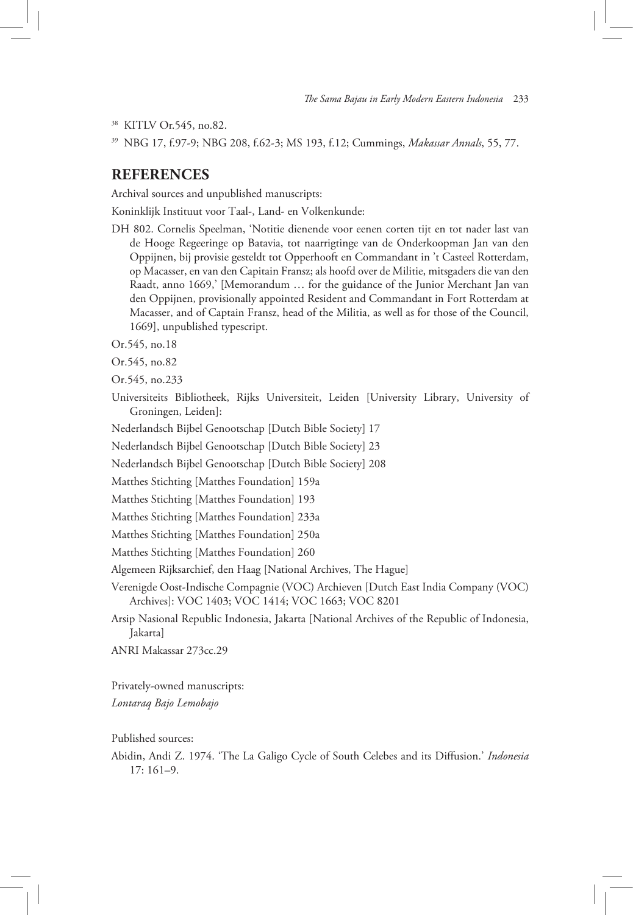<sup>38</sup> KITLV Or.545, no.82.

<sup>39</sup> NBG 17, f.97-9; NBG 208, f.62-3; MS 193, f.12; Cummings, *Makassar Annals*, 55, 77.

### **REFERENCES**

Archival sources and unpublished manuscripts:

Koninklijk Instituut voor Taal-, Land- en Volkenkunde:

- DH 802. Cornelis Speelman, 'Notitie dienende voor eenen corten tijt en tot nader last van de Hooge Regeeringe op Batavia, tot naarrigtinge van de Onderkoopman Jan van den Oppijnen, bij provisie gesteldt tot Opperhooft en Commandant in 't Casteel Rotterdam, op Macasser, en van den Capitain Fransz; als hoofd over de Militie, mitsgaders die van den Raadt, anno 1669,' [Memorandum … for the guidance of the Junior Merchant Jan van den Oppijnen, provisionally appointed Resident and Commandant in Fort Rotterdam at Macasser, and of Captain Fransz, head of the Militia, as well as for those of the Council, 1669], unpublished typescript.
- Or.545, no.18
- Or.545, no.82

Or.545, no.233

Universiteits Bibliotheek, Rijks Universiteit, Leiden [University Library, University of Groningen, Leiden]:

Nederlandsch Bijbel Genootschap [Dutch Bible Society] 17

Nederlandsch Bijbel Genootschap [Dutch Bible Society] 23

Nederlandsch Bijbel Genootschap [Dutch Bible Society] 208

Matthes Stichting [Matthes Foundation] 159a

Matthes Stichting [Matthes Foundation] 193

Matthes Stichting [Matthes Foundation] 233a

Matthes Stichting [Matthes Foundation] 250a

Matthes Stichting [Matthes Foundation] 260

Algemeen Rijksarchief, den Haag [National Archives, The Hague]

Verenigde Oost-Indische Compagnie (VOC) Archieven [Dutch East India Company (VOC) Archives]: VOC 1403; VOC 1414; VOC 1663; VOC 8201

Arsip Nasional Republic Indonesia, Jakarta [National Archives of the Republic of Indonesia, Jakarta]

ANRI Makassar 273cc.29

Privately-owned manuscripts: *Lontaraq Bajo Lemobajo*

Published sources:

Abidin, Andi Z. 1974. 'The La Galigo Cycle of South Celebes and its Diffusion.' *Indonesia*  17: 161–9.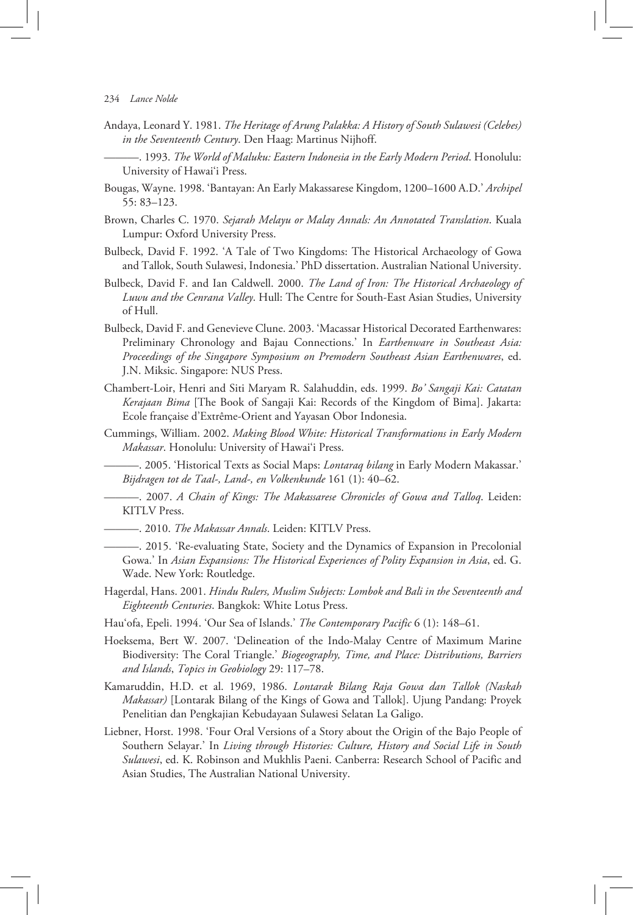- Andaya, Leonard Y. 1981. *The Heritage of Arung Palakka: A History of South Sulawesi (Celebes) in the Seventeenth Century*. Den Haag: Martinus Nijhoff.
	- ———. 1993. *The World of Maluku: Eastern Indonesia in the EarlyModern Period*. Honolulu: University of Hawai'i Press.
- Bougas, Wayne. 1998. 'Bantayan: An Early Makassarese Kingdom, 1200–1600 A.D.' *Archipel* 55: 83–123.
- Brown, Charles C. 1970. *Sejarah Melayu or Malay Annals: An Annotated Translation*. Kuala Lumpur: Oxford University Press.
- Bulbeck, David F. 1992. 'A Tale of Two Kingdoms: The Historical Archaeology of Gowa and Tallok, South Sulawesi, Indonesia.' PhD dissertation. Australian National University.
- Bulbeck, David F. and Ian Caldwell. 2000. *The Land of Iron: The Historical Archaeology of Luwu and the Cenrana Valley*. Hull: The Centre for South-East Asian Studies, University of Hull.
- Bulbeck, David F. and Genevieve Clune. 2003. 'Macassar Historical Decorated Earthenwares: Preliminary Chronology and Bajau Connections.' In *Earthenware in Southeast Asia: Proceedings of the Singapore Symposium on Premodern Southeast Asian Earthenwares*, ed. J.N. Miksic. Singapore: NUS Press.
- Chambert-Loir, Henri and Siti Maryam R. Salahuddin, eds. 1999. *Bo' Sangaji Kai: Catatan Kerajaan Bima* [The Book of Sangaji Kai: Records of the Kingdom of Bima]. Jakarta: Ecole française d'Extrême-Orient and Yayasan Obor Indonesia.
- Cummings, William. 2002. *Making Blood White: Historical Transformations in Early Modern Makassar*. Honolulu: University of Hawai'i Press.
	- ———. 2005. 'Historical Texts as Social Maps: *Lontaraq bilang* in Early Modern Makassar.' *Bijdragen tot de Taal-, Land-, en Volkenkunde* 161 (1): 40–62.
	- ———. 2007. *A Chain of Kings: The Makassarese Chronicles of Gowa and Talloq*. Leiden: KITLV Press.
- ———. 2010. *The Makassar Annals*. Leiden: KITLV Press.
- ———. 2015. 'Re-evaluating State, Society and the Dynamics of Expansion in Precolonial Gowa.' In *Asian Expansions: The Historical Experiences of PolityExpansion in Asia*, ed. G. Wade. New York: Routledge.
- Hagerdal, Hans. 2001. *Hindu Rulers, Muslim Subjects: Lombok and Bali in the Seventeenth and Eighteenth Centuries*. Bangkok: White Lotus Press.
- Hau'ofa, Epeli. 1994. 'Our Sea of Islands.' *The Contemporary Pacific* 6 (1): 148–61.
- Hoeksema, Bert W. 2007. 'Delineation of the Indo-Malay Centre of Maximum Marine Biodiversity: The Coral Triangle.' *Biogeography, Time, and Place: Distributions, Barriers and Islands*, *Topics in Geobiology* 29: 117–78.
- Kamaruddin, H.D. et al. 1969, 1986. *Lontarak Bilang Raja Gowa dan Tallok (Naskah Makassar)* [Lontarak Bilang of the Kings of Gowa and Tallok]. Ujung Pandang: Proyek Penelitian dan Pengkajian Kebudayaan Sulawesi Selatan La Galigo.
- Liebner, Horst. 1998. 'Four Oral Versions of a Story about the Origin of the Bajo People of Southern Selayar.' In *Living through Histories: Culture, History and Social Life in South Sulawesi*, ed. K. Robinson and Mukhlis Paeni. Canberra: Research School of Pacific and Asian Studies, The Australian National University.